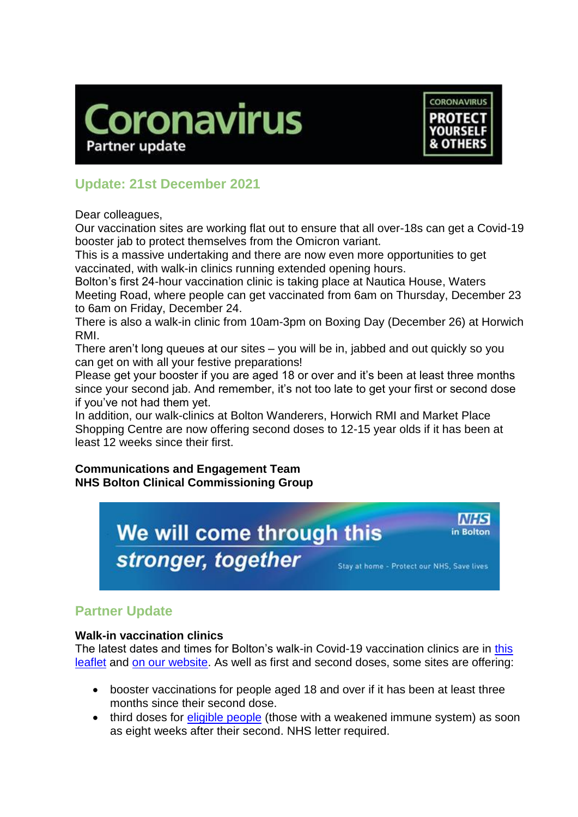



# **Update: 21st December 2021**

Dear colleagues,

Our vaccination sites are working flat out to ensure that all over-18s can get a Covid-19 booster jab to protect themselves from the Omicron variant.

This is a massive undertaking and there are now even more opportunities to get vaccinated, with walk-in clinics running extended opening hours.

Bolton's first 24-hour vaccination clinic is taking place at Nautica House, Waters Meeting Road, where people can get vaccinated from 6am on Thursday, December 23 to 6am on Friday, December 24.

There is also a walk-in clinic from 10am-3pm on Boxing Day (December 26) at Horwich RMI.

There aren't long queues at our sites – you will be in, jabbed and out quickly so you can get on with all your festive preparations!

Please get your booster if you are aged 18 or over and it's been at least three months since your second jab. And remember, it's not too late to get your first or second dose if you've not had them yet.

In addition, our walk-clinics at Bolton Wanderers, Horwich RMI and Market Place Shopping Centre are now offering second doses to 12-15 year olds if it has been at least 12 weeks since their first.

### **Communications and Engagement Team NHS Bolton Clinical Commissioning Group**



## **Partner Update**

### **Walk-in vaccination clinics**

The latest dates and times for Bolton's walk-in Covid-19 vaccination clinics are in this [leaflet](https://www.boltonccg.nhs.uk/media/7715/vaccine-site-list_fri_17-dec.pdf) and [on our website.](https://www.boltonccg.nhs.uk/patient-zone/coronavirus) As well as first and second doses, some sites are offering:

- booster vaccinations for people aged 18 and over if it has been at least three months since their second dose.
- third doses for [eligible people](https://www.nhs.uk/conditions/coronavirus-covid-19/coronavirus-vaccination/coronavirus-vaccine-3rd-dose/) (those with a weakened immune system) as soon as eight weeks after their second. NHS letter required.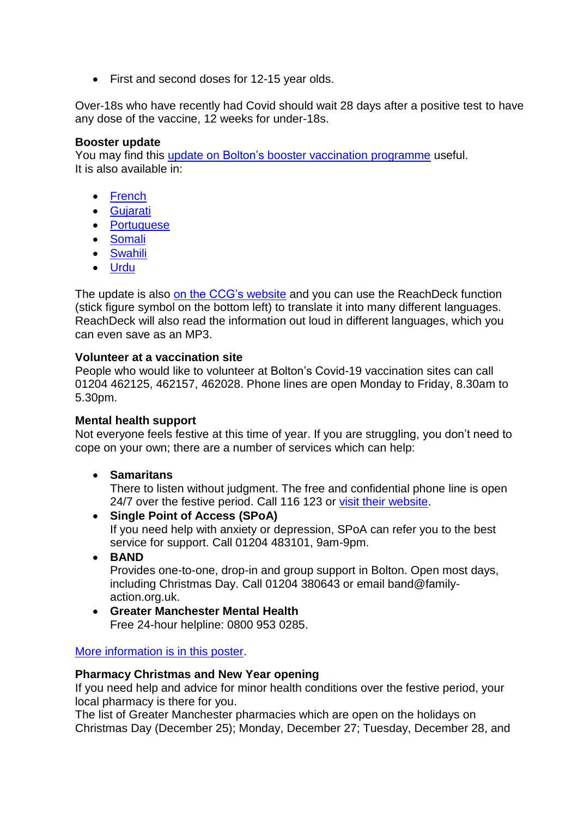• First and second doses for 12-15 year olds.

Over-18s who have recently had Covid should wait 28 days after a positive test to have any dose of the vaccine, 12 weeks for under-18s.

#### **Booster update**

You may find this update on Bolton's [booster vaccination programme](https://www.boltonccg.nhs.uk/media/7702/ks_vaccsprogupdate_dec14.pdf) useful. It is also available in:

- [French](https://www.boltonccg.nhs.uk/media/7717/dec_vaccupdate__french_ccg.pdf)
- [Gujarati](https://www.boltonccg.nhs.uk/media/7722/dec_vaccupdate__gujarati_ccg.pdf)
- [Portuguese](https://www.boltonccg.nhs.uk/media/7721/dec_vaccupdate__portuguese_ccg.pdf)
- [Somali](https://www.boltonccg.nhs.uk/media/7718/dec_vaccupdate__somali_ccg.pdf)
- [Swahili](https://www.boltonccg.nhs.uk/media/7719/dec_vaccupdate__swahili_ccg.pdf)
- [Urdu](https://www.boltonccg.nhs.uk/media/7720/dec_vaccupdate__urdu_ccg.pdf)

The update is also [on the CCG's](https://www.boltonccg.nhs.uk/news-events/news/updates-to-the-bolton-covid-19-vaccination-programme) website and you can use the ReachDeck function (stick figure symbol on the bottom left) to translate it into many different languages. ReachDeck will also read the information out loud in different languages, which you can even save as an MP3.

#### **Volunteer at a vaccination site**

People who would like to volunteer at Bolton's Covid-19 vaccination sites can call 01204 462125, 462157, 462028. Phone lines are open Monday to Friday, 8.30am to 5.30pm.

#### **Mental health support**

Not everyone feels festive at this time of year. If you are struggling, you don't need to cope on your own; there are a number of services which can help:

**Samaritans**

There to listen without judgment. The free and confidential phone line is open 24/7 over the festive period. Call 116 123 or [visit their website.](https://www.samaritans.org/)

- **Single Point of Access (SPoA)** If you need help with anxiety or depression, SPoA can refer you to the best service for support. Call 01204 483101, 9am-9pm.
- **BAND**

Provides one-to-one, drop-in and group support in Bolton. Open most days, including Christmas Day. Call 01204 380643 or email band@familyaction.org.uk.

 **Greater Manchester Mental Health** Free 24-hour helpline: 0800 953 0285.

#### [More information is in this poster.](https://www.boltonccg.nhs.uk/media/7716/winter-2021-mental-health-support.pdf)

#### **Pharmacy Christmas and New Year opening**

If you need help and advice for minor health conditions over the festive period, your local pharmacy is there for you.

The list of Greater Manchester pharmacies which are open on the holidays on Christmas Day (December 25); Monday, December 27; Tuesday, December 28, and